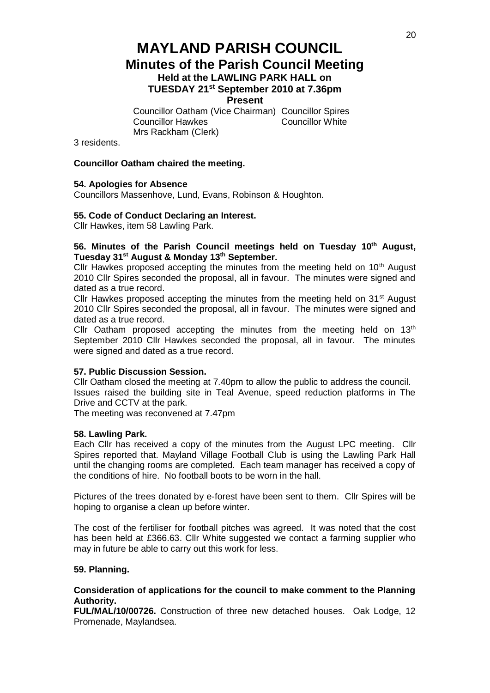# **MAYLAND PARISH COUNCIL Minutes of the Parish Council Meeting Held at the LAWLING PARK HALL on TUESDAY 21st September 2010 at 7.36pm Present**

Councillor Oatham (Vice Chairman) Councillor Spires **Councillor Hawkes** Mrs Rackham (Clerk)

3 residents.

# **Councillor Oatham chaired the meeting.**

# **54. Apologies for Absence**

Councillors Massenhove, Lund, Evans, Robinson & Houghton.

# **55. Code of Conduct Declaring an Interest.**

Cllr Hawkes, item 58 Lawling Park.

# **56. Minutes of the Parish Council meetings held on Tuesday 10th August, Tuesday 31st August & Monday 13th September.**

Cllr Hawkes proposed accepting the minutes from the meeting held on  $10<sup>th</sup>$  August 2010 Cllr Spires seconded the proposal, all in favour. The minutes were signed and dated as a true record.

Cllr Hawkes proposed accepting the minutes from the meeting held on 31<sup>st</sup> August 2010 Cllr Spires seconded the proposal, all in favour. The minutes were signed and dated as a true record.

Cllr Oatham proposed accepting the minutes from the meeting held on  $13<sup>th</sup>$ September 2010 Cllr Hawkes seconded the proposal, all in favour. The minutes were signed and dated as a true record.

# **57. Public Discussion Session.**

Cllr Oatham closed the meeting at 7.40pm to allow the public to address the council. Issues raised the building site in Teal Avenue, speed reduction platforms in The Drive and CCTV at the park.

The meeting was reconvened at 7.47pm

# **58. Lawling Park.**

Each Cllr has received a copy of the minutes from the August LPC meeting. Cllr Spires reported that. Mayland Village Football Club is using the Lawling Park Hall until the changing rooms are completed. Each team manager has received a copy of the conditions of hire. No football boots to be worn in the hall.

Pictures of the trees donated by e-forest have been sent to them. Cllr Spires will be hoping to organise a clean up before winter.

The cost of the fertiliser for football pitches was agreed. It was noted that the cost has been held at £366.63. Cllr White suggested we contact a farming supplier who may in future be able to carry out this work for less.

# **59. Planning.**

# **Consideration of applications for the council to make comment to the Planning Authority.**

**FUL/MAL/10/00726.** Construction of three new detached houses. Oak Lodge, 12 Promenade, Maylandsea.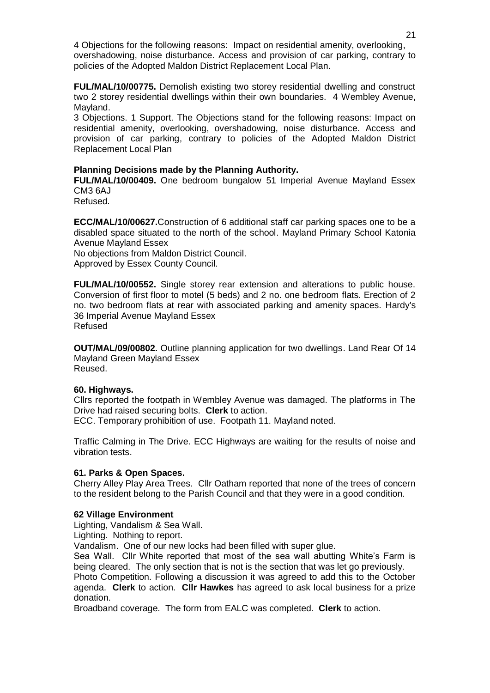4 Objections for the following reasons: Impact on residential amenity, overlooking, overshadowing, noise disturbance. Access and provision of car parking, contrary to policies of the Adopted Maldon District Replacement Local Plan.

**FUL/MAL/10/00775.** Demolish existing two storey residential dwelling and construct two 2 storey residential dwellings within their own boundaries. 4 Wembley Avenue, Mayland.

3 Objections. 1 Support. The Objections stand for the following reasons: Impact on residential amenity, overlooking, overshadowing, noise disturbance. Access and provision of car parking, contrary to policies of the Adopted Maldon District Replacement Local Plan

# **Planning Decisions made by the Planning Authority.**

**FUL/MAL/10/00409.** One bedroom bungalow 51 Imperial Avenue Mayland Essex CM3 6AJ

Refused.

**ECC/MAL/10/00627.**Construction of 6 additional staff car parking spaces one to be a disabled space situated to the north of the school. Mayland Primary School Katonia Avenue Mayland Essex

No objections from Maldon District Council.

Approved by Essex County Council.

**FUL/MAL/10/00552.** Single storey rear extension and alterations to public house. Conversion of first floor to motel (5 beds) and 2 no. one bedroom flats. Erection of 2 no. two bedroom flats at rear with associated parking and amenity spaces. Hardy's 36 Imperial Avenue Mayland Essex Refused

**OUT/MAL/09/00802.** Outline planning application for two dwellings. Land Rear Of 14 Mayland Green Mayland Essex Reused.

# **60. Highways.**

Cllrs reported the footpath in Wembley Avenue was damaged. The platforms in The Drive had raised securing bolts. **Clerk** to action.

ECC. Temporary prohibition of use. Footpath 11. Mayland noted.

Traffic Calming in The Drive. ECC Highways are waiting for the results of noise and vibration tests.

# **61. Parks & Open Spaces.**

Cherry Alley Play Area Trees. Cllr Oatham reported that none of the trees of concern to the resident belong to the Parish Council and that they were in a good condition.

# **62 Village Environment**

Lighting, Vandalism & Sea Wall.

Lighting. Nothing to report.

Vandalism. One of our new locks had been filled with super glue.

Sea Wall. Cllr White reported that most of the sea wall abutting White's Farm is being cleared. The only section that is not is the section that was let go previously. Photo Competition. Following a discussion it was agreed to add this to the October agenda. **Clerk** to action. **Cllr Hawkes** has agreed to ask local business for a prize donation.

Broadband coverage. The form from EALC was completed. **Clerk** to action.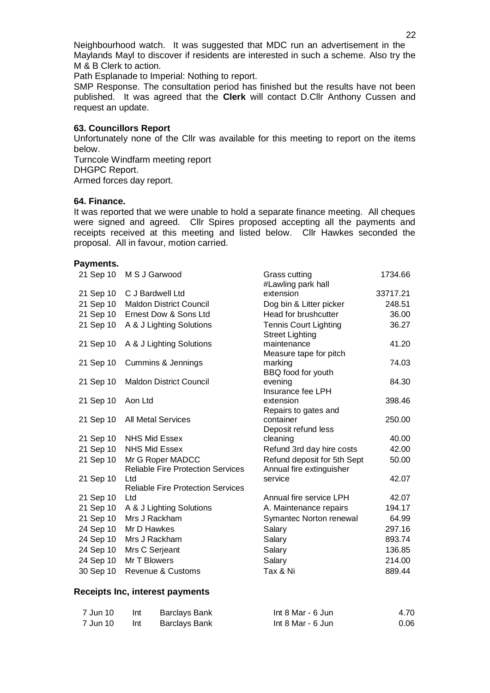Neighbourhood watch. It was suggested that MDC run an advertisement in the Maylands Mayl to discover if residents are interested in such a scheme. Also try the M & B Clerk to action.

Path Esplanade to Imperial: Nothing to report.

SMP Response. The consultation period has finished but the results have not been published. It was agreed that the **Clerk** will contact D.Cllr Anthony Cussen and request an update.

#### **63. Councillors Report**

Unfortunately none of the Cllr was available for this meeting to report on the items below.

Turncole Windfarm meeting report DHGPC Report. Armed forces day report.

#### **64. Finance.**

It was reported that we were unable to hold a separate finance meeting. All cheques were signed and agreed. Cllr Spires proposed accepting all the payments and receipts received at this meeting and listed below. Cllr Hawkes seconded the proposal. All in favour, motion carried.

#### **Payments.**

| 21 Sep 10 | M S J Garwood                                                | Grass cutting                                           | 1734.66  |
|-----------|--------------------------------------------------------------|---------------------------------------------------------|----------|
|           |                                                              | #Lawling park hall                                      |          |
| 21 Sep 10 | C J Bardwell Ltd                                             | extension                                               | 33717.21 |
| 21 Sep 10 | <b>Maldon District Council</b>                               | Dog bin & Litter picker                                 | 248.51   |
| 21 Sep 10 | Ernest Dow & Sons Ltd                                        | Head for brushcutter                                    | 36.00    |
| 21 Sep 10 | A & J Lighting Solutions                                     | <b>Tennis Court Lighting</b><br><b>Street Lighting</b>  | 36.27    |
| 21 Sep 10 | A & J Lighting Solutions                                     | maintenance<br>Measure tape for pitch                   | 41.20    |
| 21 Sep 10 | Cummins & Jennings                                           | marking<br>BBQ food for youth                           | 74.03    |
| 21 Sep 10 | <b>Maldon District Council</b>                               | evening<br>Insurance fee LPH                            | 84.30    |
| 21 Sep 10 | Aon Ltd                                                      | extension<br>Repairs to gates and                       | 398.46   |
| 21 Sep 10 | <b>All Metal Services</b>                                    | container<br>Deposit refund less                        | 250.00   |
| 21 Sep 10 | NHS Mid Essex                                                | cleaning                                                | 40.00    |
| 21 Sep 10 | <b>NHS Mid Essex</b>                                         | Refund 3rd day hire costs                               | 42.00    |
| 21 Sep 10 | Mr G Roper MADCC<br><b>Reliable Fire Protection Services</b> | Refund deposit for 5th Sept<br>Annual fire extinguisher | 50.00    |
| 21 Sep 10 | Ltd<br><b>Reliable Fire Protection Services</b>              | service                                                 | 42.07    |
| 21 Sep 10 | Ltd                                                          | Annual fire service LPH                                 | 42.07    |
| 21 Sep 10 | A & J Lighting Solutions                                     | A. Maintenance repairs                                  | 194.17   |
| 21 Sep 10 | Mrs J Rackham                                                | Symantec Norton renewal                                 | 64.99    |
| 24 Sep 10 | Mr D Hawkes                                                  | Salary                                                  | 297.16   |
| 24 Sep 10 | Mrs J Rackham                                                | Salary                                                  | 893.74   |
| 24 Sep 10 | Mrs C Serjeant                                               | Salary                                                  | 136.85   |
| 24 Sep 10 | Mr T Blowers                                                 | Salary                                                  | 214.00   |
| 30 Sep 10 | <b>Revenue &amp; Customs</b>                                 | Tax & Ni                                                | 889.44   |

#### **Receipts Inc, interest payments**

| 7 Jun 10 | Int | Barclays Bank | Int $8$ Mar - $6$ Jun | 4.70 |
|----------|-----|---------------|-----------------------|------|
| 7 Jun 10 | Int | Barclays Bank | Int $8$ Mar - $6$ Jun | 0.06 |